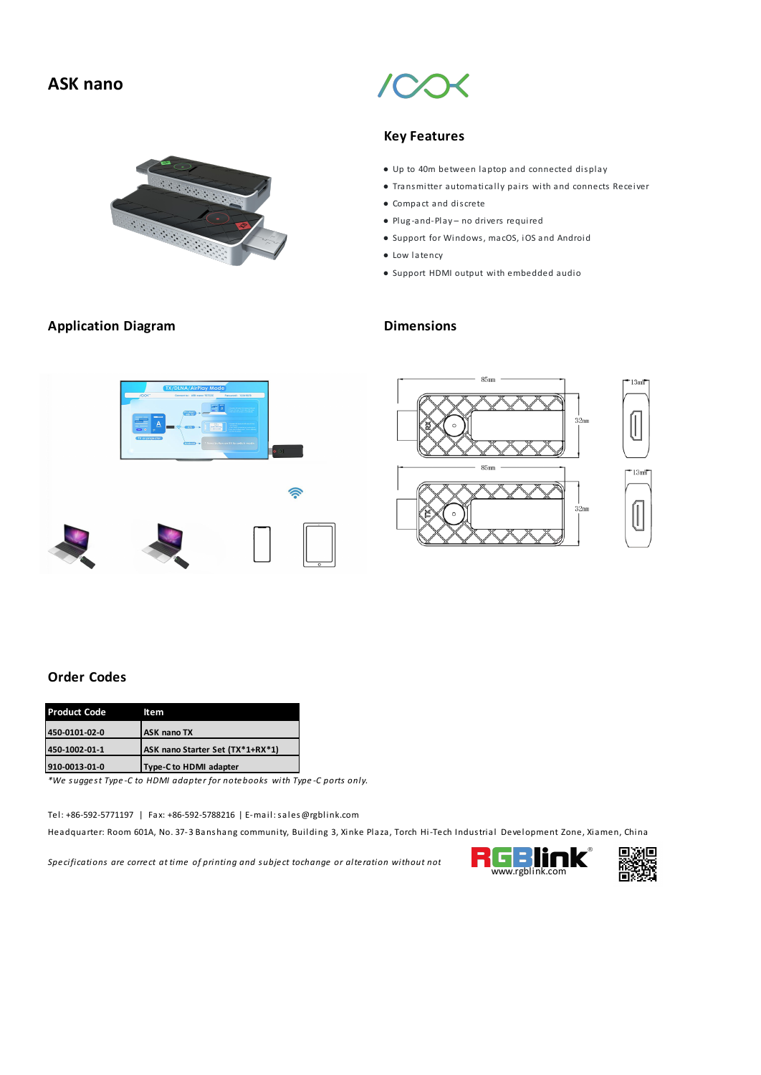## **ASK nano**



### **Application Diagram Dimensions**

### **Key Features**

- Up to 40m between laptop and connected display
- Transmitter automati cally pairs with and connects Receiver
- Compact and dis crete
- Plug -and-Play no drivers required
- Support for Windows, macOS, iOS and Android
- Low latency
- Support HDMI output with embedded audio





### **Order Codes**

| <b>Product Code</b> | ltem                             |  |
|---------------------|----------------------------------|--|
| 450-0101-02-0       | <b>ASK nano TX</b>               |  |
| 450-1002-01-1       | ASK nano Starter Set (TX*1+RX*1) |  |
| 910-0013-01-0       | Type-C to HDMI adapter           |  |

*\*We suggest Type -C to HDMI adapter for notebooks with Type -C ports only.*

Tel: +86-592-5771197 |Fax: +86-592-5788216 | E-mail:sales@rgblink.com

Headquarter: Room 601A, No. 37-3 Banshang community, Building 3, Xinke Plaza, Torch Hi-Tech Industrial Development Zone, Xiamen, China

*Specifications* are *correct at time of printing and subject tochange or alteration without not* **computer www.rgblink.com**